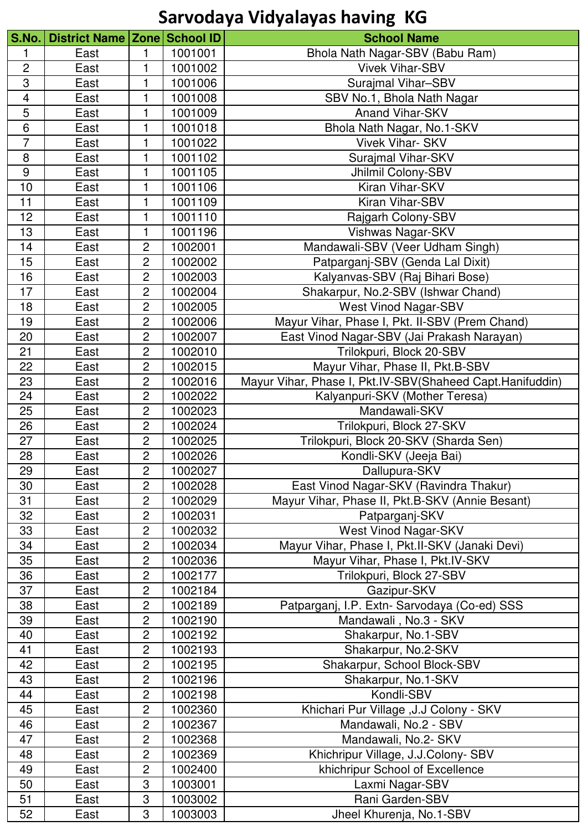| S.No           | District Name Zone School ID |                |         | <b>School Name</b>                                        |
|----------------|------------------------------|----------------|---------|-----------------------------------------------------------|
| 1              | East                         | 1              | 1001001 | Bhola Nath Nagar-SBV (Babu Ram)                           |
| $\overline{2}$ | East                         |                | 1001002 | <b>Vivek Vihar-SBV</b>                                    |
| 3              | East                         | 1              | 1001006 | Surajmal Vihar-SBV                                        |
| $\overline{4}$ | East                         | 1              | 1001008 | SBV No.1, Bhola Nath Nagar                                |
| 5              | East                         | 1              | 1001009 | <b>Anand Vihar-SKV</b>                                    |
| $\overline{6}$ | East                         |                | 1001018 | Bhola Nath Nagar, No.1-SKV                                |
| $\overline{7}$ | East                         | 1              | 1001022 | <b>Vivek Vihar-SKV</b>                                    |
| 8              | East                         |                | 1001102 | Surajmal Vihar-SKV                                        |
| 9              | East                         | 1              | 1001105 | Jhilmil Colony-SBV                                        |
| 10             | East                         |                | 1001106 | Kiran Vihar-SKV                                           |
| 11             | East                         | 1              | 1001109 | Kiran Vihar-SBV                                           |
| 12             | East                         | 1              | 1001110 | Rajgarh Colony-SBV                                        |
| 13             | East                         | 1              | 1001196 | Vishwas Nagar-SKV                                         |
| 14             | East                         | 2              | 1002001 | Mandawali-SBV (Veer Udham Singh)                          |
| 15             | East                         | 2              | 1002002 | Patparganj-SBV (Genda Lal Dixit)                          |
| 16             | East                         | $\overline{c}$ | 1002003 | Kalyanvas-SBV (Raj Bihari Bose)                           |
| 17             | East                         | $\overline{2}$ | 1002004 | Shakarpur, No.2-SBV (Ishwar Chand)                        |
| 18             | East                         | $\overline{c}$ | 1002005 | <b>West Vinod Nagar-SBV</b>                               |
| 19             | East                         | $\overline{c}$ | 1002006 | Mayur Vihar, Phase I, Pkt. II-SBV (Prem Chand)            |
| 20             | East                         | $\overline{c}$ | 1002007 | East Vinod Nagar-SBV (Jai Prakash Narayan)                |
| 21             | East                         | $\overline{c}$ | 1002010 | Trilokpuri, Block 20-SBV                                  |
| 22             | East                         | $\overline{2}$ | 1002015 | Mayur Vihar, Phase II, Pkt.B-SBV                          |
| 23             | East                         | $\overline{c}$ | 1002016 | Mayur Vihar, Phase I, Pkt.IV-SBV(Shaheed Capt.Hanifuddin) |
| 24             | East                         | $\overline{2}$ | 1002022 | Kalyanpuri-SKV (Mother Teresa)                            |
| 25             | East                         | $\overline{c}$ | 1002023 | Mandawali-SKV                                             |
| 26             | East                         | $\overline{2}$ | 1002024 | Trilokpuri, Block 27-SKV                                  |
| 27             | East                         | $\overline{c}$ | 1002025 | Trilokpuri, Block 20-SKV (Sharda Sen)                     |
| 28             | East                         | $\overline{c}$ | 1002026 | Kondli-SKV (Jeeja Bai)                                    |
| 29             | East                         | $\overline{c}$ | 1002027 | Dallupura-SKV                                             |
| 30             | East                         | $\overline{2}$ | 1002028 | East Vinod Nagar-SKV (Ravindra Thakur)                    |
| 31             | East                         | $\overline{c}$ | 1002029 | Mayur Vihar, Phase II, Pkt.B-SKV (Annie Besant)           |
| 32             | East                         | $\overline{2}$ | 1002031 | Patparganj-SKV                                            |
| 33             | East                         | $\overline{c}$ | 1002032 | West Vinod Nagar-SKV                                      |
| 34             | East                         | $\overline{2}$ | 1002034 | Mayur Vihar, Phase I, Pkt.II-SKV (Janaki Devi)            |
| 35             | East                         | $\overline{c}$ | 1002036 | Mayur Vihar, Phase I, Pkt.IV-SKV                          |
| 36             | East                         | $\overline{2}$ | 1002177 | Trilokpuri, Block 27-SBV                                  |
| 37             | East                         | $\overline{c}$ | 1002184 | Gazipur-SKV                                               |
| 38             | East                         | $\overline{2}$ | 1002189 | Patparganj, I.P. Extn- Sarvodaya (Co-ed) SSS              |
| 39             | East                         | $\overline{c}$ | 1002190 | Mandawali, No.3 - SKV                                     |
| 40             | East                         | $\overline{c}$ | 1002192 | Shakarpur, No.1-SBV                                       |
| 41             | East                         | $\overline{c}$ | 1002193 | Shakarpur, No.2-SKV                                       |
| 42             | East                         | $\overline{c}$ | 1002195 | Shakarpur, School Block-SBV                               |
| 43             | East                         | $\overline{c}$ | 1002196 | Shakarpur, No.1-SKV                                       |
| 44             | East                         | $\overline{c}$ | 1002198 | Kondli-SBV                                                |
| 45             | East                         | $\overline{2}$ | 1002360 | Khichari Pur Village , J.J Colony - SKV                   |
| 46             | East                         | $\overline{c}$ | 1002367 | Mandawali, No.2 - SBV                                     |
| 47             | East                         | $\overline{2}$ | 1002368 | Mandawali, No.2- SKV                                      |
| 48             | East                         | $\overline{c}$ | 1002369 | Khichripur Village, J.J.Colony- SBV                       |
| 49             | East                         | $\overline{c}$ | 1002400 | khichripur School of Excellence                           |
| 50             | East                         | 3              | 1003001 | Laxmi Nagar-SBV                                           |
| 51             | East                         | 3              | 1003002 | Rani Garden-SBV                                           |
| 52             | East                         | 3              | 1003003 | Jheel Khurenja, No.1-SBV                                  |
|                |                              |                |         |                                                           |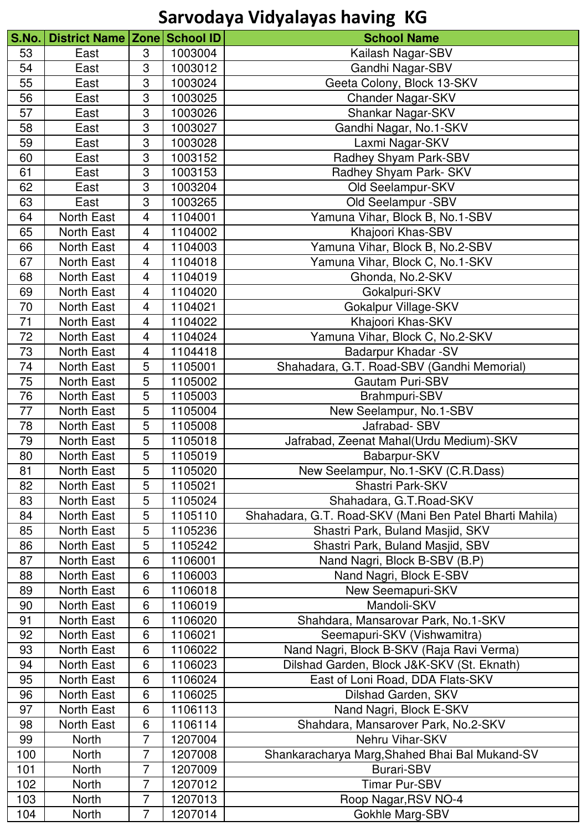| S.No.    | District Name Zone School ID |                         |         | <b>School Name</b>                                      |
|----------|------------------------------|-------------------------|---------|---------------------------------------------------------|
| 53       | East                         | 3                       | 1003004 | Kailash Nagar-SBV                                       |
| 54       | East                         | 3                       | 1003012 | Gandhi Nagar-SBV                                        |
| 55       | East                         | 3                       | 1003024 | Geeta Colony, Block 13-SKV                              |
| 56       | East                         | 3                       | 1003025 | Chander Nagar-SKV                                       |
| 57       | East                         | 3                       | 1003026 | Shankar Nagar-SKV                                       |
| 58       | East                         | 3                       | 1003027 | Gandhi Nagar, No.1-SKV                                  |
| 59       | East                         | 3                       | 1003028 | Laxmi Nagar-SKV                                         |
| 60       | East                         | 3                       | 1003152 | Radhey Shyam Park-SBV                                   |
| 61       | East                         | 3                       | 1003153 | Radhey Shyam Park- SKV                                  |
| 62       | East                         | 3                       | 1003204 | Old Seelampur-SKV                                       |
| 63       | East                         | 3                       | 1003265 | Old Seelampur -SBV                                      |
| 64       | North East                   | $\overline{\mathbf{4}}$ | 1104001 | Yamuna Vihar, Block B, No.1-SBV                         |
| 65       | North East                   | $\overline{\mathbf{4}}$ | 1104002 | Khajoori Khas-SBV                                       |
| 66       | North East                   | $\overline{\mathbf{4}}$ | 1104003 | Yamuna Vihar, Block B, No.2-SBV                         |
| 67       | North East                   | $\overline{\mathbf{4}}$ | 1104018 | Yamuna Vihar, Block C, No.1-SKV                         |
| 68       | <b>North East</b>            | $\overline{\mathbf{4}}$ | 1104019 | Ghonda, No.2-SKV                                        |
| 69       | North East                   | $\overline{\mathbf{4}}$ | 1104020 | Gokalpuri-SKV                                           |
| 70       | North East                   | $\overline{\mathbf{4}}$ | 1104021 | Gokalpur Village-SKV                                    |
| 71       | North East                   | 4                       | 1104022 | Khajoori Khas-SKV                                       |
| 72       | <b>North East</b>            | 4                       | 1104024 | Yamuna Vihar, Block C, No.2-SKV                         |
| 73       | North East                   | 4                       | 1104418 | Badarpur Khadar - SV                                    |
| 74       | North East                   | $\mathbf 5$             | 1105001 | Shahadara, G.T. Road-SBV (Gandhi Memorial)              |
| 75       | North East                   | 5                       | 1105002 | <b>Gautam Puri-SBV</b>                                  |
| 76       | North East                   | 5                       | 1105003 | Brahmpuri-SBV                                           |
| 77       | North East                   | 5                       | 1105004 | New Seelampur, No.1-SBV                                 |
| 78       | North East                   | 5                       | 1105008 | Jafrabad- SBV                                           |
|          |                              | 5                       |         |                                                         |
| 79<br>80 | North East                   | 5                       | 1105018 | Jafrabad, Zeenat Mahal(Urdu Medium)-SKV                 |
|          | North East                   |                         | 1105019 | Babarpur-SKV                                            |
| 81       | North East                   | 5                       | 1105020 | New Seelampur, No.1-SKV (C.R.Dass)                      |
| 82       | <b>North East</b>            | 5                       | 1105021 | Shastri Park-SKV                                        |
| 83       | North East                   | 5                       | 1105024 | Shahadara, G.T. Road-SKV                                |
| 84       | North East                   | 5                       | 1105110 | Shahadara, G.T. Road-SKV (Mani Ben Patel Bharti Mahila) |
| 85       | North East                   | 5                       | 1105236 | Shastri Park, Buland Masjid, SKV                        |
| 86       | North East                   | 5                       | 1105242 | Shastri Park, Buland Masjid, SBV                        |
| 87       | North East                   | 6                       | 1106001 | Nand Nagri, Block B-SBV (B.P)                           |
| 88       | North East                   | 6                       | 1106003 | Nand Nagri, Block E-SBV                                 |
| 89       | North East                   | 6                       | 1106018 | New Seemapuri-SKV                                       |
| 90       | North East                   | 6                       | 1106019 | Mandoli-SKV                                             |
| 91       | North East                   | 6                       | 1106020 | Shahdara, Mansarovar Park, No.1-SKV                     |
| 92       | North East                   | 6                       | 1106021 | Seemapuri-SKV (Vishwamitra)                             |
| 93       | North East                   | 6                       | 1106022 | Nand Nagri, Block B-SKV (Raja Ravi Verma)               |
| 94       | North East                   | 6                       | 1106023 | Dilshad Garden, Block J&K-SKV (St. Eknath)              |
| 95       | North East                   | 6                       | 1106024 | East of Loni Road, DDA Flats-SKV                        |
| 96       | North East                   | 6                       | 1106025 | Dilshad Garden, SKV                                     |
| 97       | North East                   | 6                       | 1106113 | Nand Nagri, Block E-SKV                                 |
| 98       | North East                   | 6                       | 1106114 | Shahdara, Mansarover Park, No.2-SKV                     |
| 99       | North                        | $\overline{7}$          | 1207004 | Nehru Vihar-SKV                                         |
| 100      | <b>North</b>                 | 7                       | 1207008 | Shankaracharya Marg, Shahed Bhai Bal Mukand-SV          |
| 101      | North                        | $\overline{7}$          | 1207009 | <b>Burari-SBV</b>                                       |
| 102      | North                        | 7                       | 1207012 | <b>Timar Pur-SBV</b>                                    |
| 103      | <b>North</b>                 | $\overline{7}$          | 1207013 | Roop Nagar, RSV NO-4                                    |
| 104      | North                        | $\overline{7}$          | 1207014 | Gokhle Marg-SBV                                         |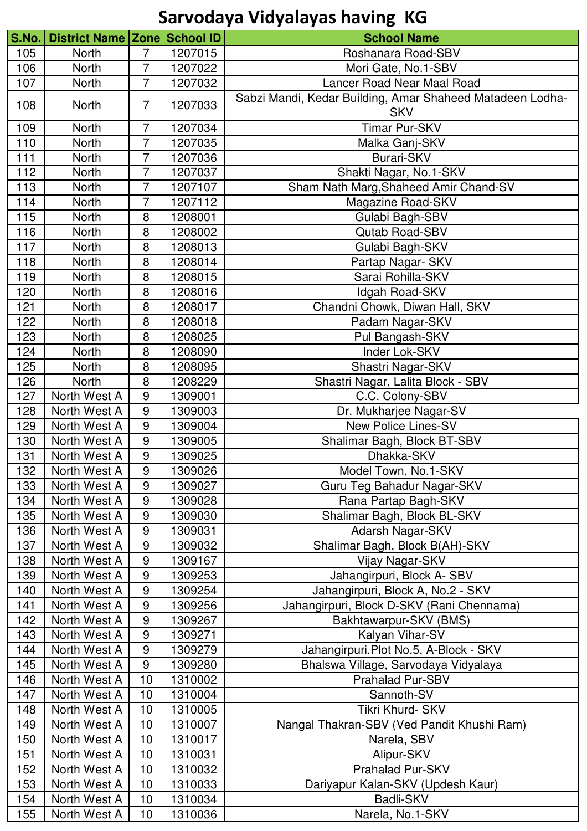| S.No. | District Name Zone School ID |                  |         | <b>School Name</b>                                                      |
|-------|------------------------------|------------------|---------|-------------------------------------------------------------------------|
| 105   | North                        | $\overline{7}$   | 1207015 | Roshanara Road-SBV                                                      |
| 106   | <b>North</b>                 | $\overline{7}$   | 1207022 | Mori Gate, No.1-SBV                                                     |
| 107   | North                        | $\overline{7}$   | 1207032 | <b>Lancer Road Near Maal Road</b>                                       |
| 108   | <b>North</b>                 | $\overline{7}$   | 1207033 | Sabzi Mandi, Kedar Building, Amar Shaheed Matadeen Lodha-<br><b>SKV</b> |
| 109   | <b>North</b>                 | 7                | 1207034 | <b>Timar Pur-SKV</b>                                                    |
| 110   | North                        | $\overline{7}$   | 1207035 | Malka Ganj-SKV                                                          |
| 111   | North                        | 7                | 1207036 | <b>Burari-SKV</b>                                                       |
| 112   | North                        | 7                | 1207037 | Shakti Nagar, No.1-SKV                                                  |
| 113   | North                        | 7                | 1207107 | Sham Nath Marg, Shaheed Amir Chand-SV                                   |
| 114   | North                        | 7                | 1207112 | Magazine Road-SKV                                                       |
| 115   | North                        | 8                | 1208001 | Gulabi Bagh-SBV                                                         |
| 116   | North                        | 8                | 1208002 | <b>Qutab Road-SBV</b>                                                   |
| 117   | North                        | 8                | 1208013 | Gulabi Bagh-SKV                                                         |
| 118   | North                        | 8                | 1208014 | Partap Nagar- SKV                                                       |
| 119   | <b>North</b>                 | 8                | 1208015 | Sarai Rohilla-SKV                                                       |
| 120   | North                        | 8                | 1208016 | Idgah Road-SKV                                                          |
| 121   | North                        | 8                | 1208017 | Chandni Chowk, Diwan Hall, SKV                                          |
| 122   | North                        | 8                | 1208018 | Padam Nagar-SKV                                                         |
| 123   | North                        | 8                | 1208025 | Pul Bangash-SKV                                                         |
| 124   | North                        | 8                | 1208090 | Inder Lok-SKV                                                           |
| 125   | North                        | 8                | 1208095 | Shastri Nagar-SKV                                                       |
| 126   | North                        | 8                | 1208229 | Shastri Nagar, Lalita Block - SBV                                       |
| 127   | North West A                 | $9\,$            | 1309001 | C.C. Colony-SBV                                                         |
| 128   | North West A                 | 9                | 1309003 | Dr. Mukharjee Nagar-SV                                                  |
| 129   | North West A                 | 9                | 1309004 | <b>New Police Lines-SV</b>                                              |
| 130   | North West A                 | 9                | 1309005 | Shalimar Bagh, Block BT-SBV                                             |
| 131   | North West A                 | $\boldsymbol{9}$ | 1309025 | Dhakka-SKV                                                              |
| 132   | North West A                 | 9                | 1309026 | Model Town, No.1-SKV                                                    |
| 133   | North West A                 | 9                | 1309027 | Guru Teg Bahadur Nagar-SKV                                              |
| 134   | North West A                 | $9\,$            | 1309028 | Rana Partap Bagh-SKV                                                    |
| 135   | North West A                 | 9                | 1309030 | Shalimar Bagh, Block BL-SKV                                             |
| 136   | North West A                 | $9\,$            | 1309031 | Adarsh Nagar-SKV                                                        |
| 137   | North West A                 | $9$              | 1309032 | Shalimar Bagh, Block B(AH)-SKV                                          |
| 138   | North West A                 | $9\,$            | 1309167 | Vijay Nagar-SKV                                                         |
| 139   | North West A                 | $9\,$            | 1309253 | Jahangirpuri, Block A-SBV                                               |
| 140   | North West A                 | $9\,$            | 1309254 | Jahangirpuri, Block A, No.2 - SKV                                       |
| 141   | North West A                 | $\boldsymbol{9}$ | 1309256 | Jahangirpuri, Block D-SKV (Rani Chennama)                               |
| 142   | North West A                 | $9\,$            | 1309267 | Bakhtawarpur-SKV (BMS)                                                  |
| 143   | North West A                 | 9                | 1309271 | Kalyan Vihar-SV                                                         |
| 144   | North West A                 | $9\,$            | 1309279 | Jahangirpuri, Plot No.5, A-Block - SKV                                  |
| 145   | North West A                 | 9                | 1309280 | Bhalswa Village, Sarvodaya Vidyalaya                                    |
| 146   | North West A                 | 10               | 1310002 | Prahalad Pur-SBV                                                        |
| 147   | North West A                 | 10               | 1310004 | Sannoth-SV                                                              |
| 148   | North West A                 | 10               | 1310005 | Tikri Khurd- SKV                                                        |
| 149   | North West A                 | 10               | 1310007 | Nangal Thakran-SBV (Ved Pandit Khushi Ram)                              |
| 150   | North West A                 | 10               | 1310017 | Narela, SBV                                                             |
| 151   | North West A                 | 10               | 1310031 | Alipur-SKV                                                              |
| 152   | North West A                 | 10               | 1310032 | Prahalad Pur-SKV                                                        |
| 153   | North West A                 | 10               | 1310033 | Dariyapur Kalan-SKV (Updesh Kaur)                                       |
| 154   | North West A                 | 10               | 1310034 | <b>Badli-SKV</b>                                                        |
| 155   | North West A                 | 10               | 1310036 | Narela, No.1-SKV                                                        |
|       |                              |                  |         |                                                                         |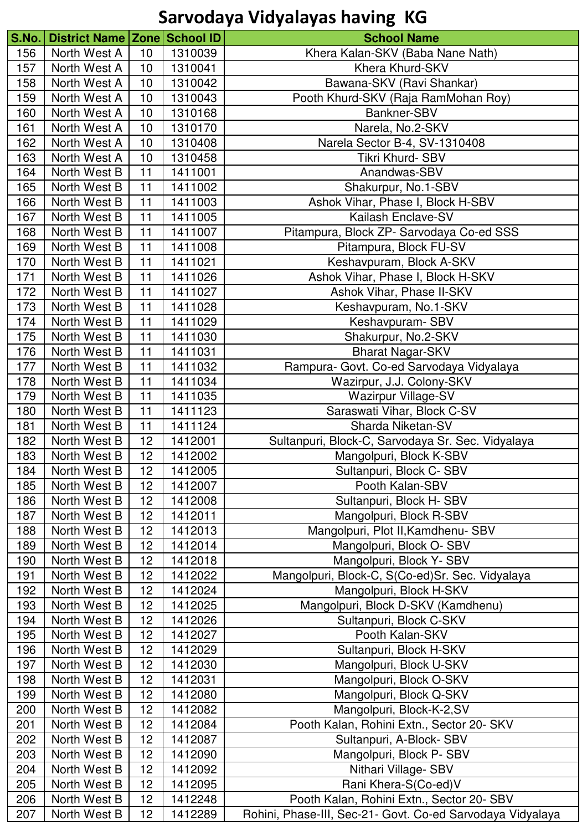| S.No. | District Name   Zone   School ID |                 |         | <b>School Name</b>                                         |
|-------|----------------------------------|-----------------|---------|------------------------------------------------------------|
| 156   | North West A                     | 10              | 1310039 | Khera Kalan-SKV (Baba Nane Nath)                           |
| 157   | North West A                     | 10              | 1310041 | Khera Khurd-SKV                                            |
| 158   | North West A                     | 10              | 1310042 | Bawana-SKV (Ravi Shankar)                                  |
|       | North West A                     | 10              |         |                                                            |
| 159   |                                  |                 | 1310043 | Pooth Khurd-SKV (Raja RamMohan Roy)<br>Bankner-SBV         |
| 160   | North West A                     | 10              | 1310168 |                                                            |
| 161   | North West A                     | 10              | 1310170 | Narela, No.2-SKV                                           |
| 162   | North West A                     | 10              | 1310408 | Narela Sector B-4, SV-1310408                              |
| 163   | North West A                     | 10              | 1310458 | Tikri Khurd- SBV                                           |
| 164   | North West B                     | 11              | 1411001 | Anandwas-SBV                                               |
| 165   | North West B                     | 11              | 1411002 | Shakurpur, No.1-SBV                                        |
| 166   | North West B                     | 11              | 1411003 | Ashok Vihar, Phase I, Block H-SBV                          |
| 167   | North West B                     | 11              | 1411005 | Kailash Enclave-SV                                         |
| 168   | North West B                     | 11              | 1411007 | Pitampura, Block ZP- Sarvodaya Co-ed SSS                   |
| 169   | North West B                     | 11              | 1411008 | Pitampura, Block FU-SV                                     |
| 170   | North West B                     | 11              | 1411021 | Keshavpuram, Block A-SKV                                   |
| 171   | North West B                     | 11              | 1411026 | Ashok Vihar, Phase I, Block H-SKV                          |
| 172   | North West B                     | 11              | 1411027 | Ashok Vihar, Phase II-SKV                                  |
| 173   | North West B                     | 11              | 1411028 | Keshavpuram, No.1-SKV                                      |
| 174   | North West B                     | 11              | 1411029 | Keshavpuram-SBV                                            |
| 175   | North West B                     | 11              | 1411030 | Shakurpur, No.2-SKV                                        |
| 176   | North West B                     | 11              | 1411031 | <b>Bharat Nagar-SKV</b>                                    |
| 177   | North West B                     | 11              | 1411032 | Rampura- Govt. Co-ed Sarvodaya Vidyalaya                   |
| 178   | North West B                     | 11              | 1411034 | Wazirpur, J.J. Colony-SKV                                  |
| 179   | North West B                     | 11              | 1411035 | <b>Wazirpur Village-SV</b>                                 |
| 180   | North West B                     | 11              | 1411123 | Saraswati Vihar, Block C-SV                                |
| 181   | North West B                     | 11              | 1411124 | Sharda Niketan-SV                                          |
| 182   | North West B                     | 12              | 1412001 | Sultanpuri, Block-C, Sarvodaya Sr. Sec. Vidyalaya          |
| 183   | North West B                     | 12              | 1412002 | Mangolpuri, Block K-SBV                                    |
| 184   | North West B                     | 12 <sub>2</sub> | 1412005 | Sultanpuri, Block C-SBV                                    |
| 185   | North West B                     | 12              | 1412007 | Pooth Kalan-SBV                                            |
| 186   | North West B                     | 12              | 1412008 | Sultanpuri, Block H-SBV                                    |
| 187   | North West B                     | 12              | 1412011 | Mangolpuri, Block R-SBV                                    |
| 188   | North West B                     | 12              | 1412013 | Mangolpuri, Plot II, Kamdhenu- SBV                         |
| 189   | North West B                     | 12              | 1412014 | Mangolpuri, Block O-SBV                                    |
| 190   | North West B                     | 12              | 1412018 | Mangolpuri, Block Y- SBV                                   |
| 191   | North West B                     | 12              | 1412022 | Mangolpuri, Block-C, S(Co-ed)Sr. Sec. Vidyalaya            |
| 192   | North West B                     | 12              | 1412024 | Mangolpuri, Block H-SKV                                    |
| 193   | North West B                     | 12              | 1412025 | Mangolpuri, Block D-SKV (Kamdhenu)                         |
| 194   | North West B                     | 12              | 1412026 | Sultanpuri, Block C-SKV                                    |
| 195   | North West B                     | 12              | 1412027 | Pooth Kalan-SKV                                            |
| 196   | North West B                     | 12              | 1412029 | Sultanpuri, Block H-SKV                                    |
| 197   | North West B                     | 12              | 1412030 | Mangolpuri, Block U-SKV                                    |
| 198   | North West B                     | 12              | 1412031 | Mangolpuri, Block O-SKV                                    |
| 199   | North West B                     | 12              | 1412080 | Mangolpuri, Block Q-SKV                                    |
| 200   | North West B                     | 12              | 1412082 | Mangolpuri, Block-K-2,SV                                   |
| 201   | North West B                     | 12              | 1412084 | Pooth Kalan, Rohini Extn., Sector 20- SKV                  |
| 202   | North West B                     | 12              | 1412087 | Sultanpuri, A-Block-SBV                                    |
| 203   | North West B                     | 12              | 1412090 | Mangolpuri, Block P-SBV                                    |
| 204   | North West B                     | 12              | 1412092 | Nithari Village- SBV                                       |
| 205   | North West B                     | 12              | 1412095 | Rani Khera-S(Co-ed)V                                       |
| 206   | North West B                     | 12              | 1412248 | Pooth Kalan, Rohini Extn., Sector 20- SBV                  |
| 207   | North West B                     | 12              | 1412289 | Rohini, Phase-III, Sec-21- Govt. Co-ed Sarvodaya Vidyalaya |
|       |                                  |                 |         |                                                            |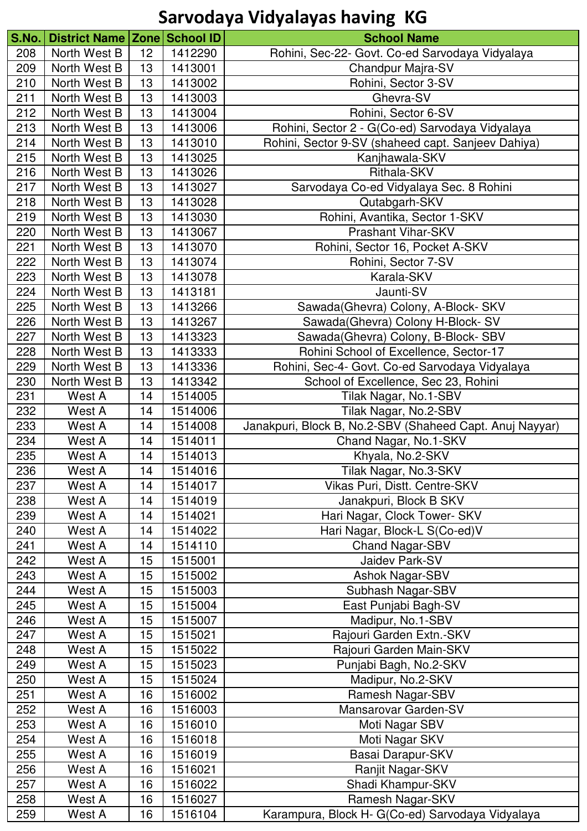| S.No. | District Name   Zone   School ID |                 |         | <b>School Name</b>                                       |
|-------|----------------------------------|-----------------|---------|----------------------------------------------------------|
| 208   | North West B                     | 12 <sub>2</sub> | 1412290 | Rohini, Sec-22- Govt. Co-ed Sarvodaya Vidyalaya          |
| 209   | North West B                     | 13              | 1413001 | Chandpur Majra-SV                                        |
| 210   | North West B                     | 13              | 1413002 | Rohini, Sector 3-SV                                      |
| 211   | North West B                     | 13              | 1413003 | Ghevra-SV                                                |
| 212   | North West B                     | 13              | 1413004 | Rohini, Sector 6-SV                                      |
| 213   | North West B                     | 13              | 1413006 | Rohini, Sector 2 - G(Co-ed) Sarvodaya Vidyalaya          |
| 214   | North West B                     | 13              | 1413010 | Rohini, Sector 9-SV (shaheed capt. Sanjeev Dahiya)       |
| 215   | North West B                     | 13              | 1413025 | Kanjhawala-SKV                                           |
| 216   | North West B                     | 13              | 1413026 | Rithala-SKV                                              |
| 217   | North West B                     | 13              | 1413027 | Sarvodaya Co-ed Vidyalaya Sec. 8 Rohini                  |
| 218   | North West B                     | 13              | 1413028 | Qutabgarh-SKV                                            |
| 219   | North West B                     | 13              | 1413030 | Rohini, Avantika, Sector 1-SKV                           |
| 220   | North West B                     | 13              | 1413067 | <b>Prashant Vihar-SKV</b>                                |
| 221   | North West B                     | 13              | 1413070 | Rohini, Sector 16, Pocket A-SKV                          |
| 222   | North West B                     | 13              | 1413074 | Rohini, Sector 7-SV                                      |
| 223   | North West B                     | 13              | 1413078 | Karala-SKV                                               |
| 224   | North West B                     | 13              | 1413181 | Jaunti-SV                                                |
| 225   | North West B                     | 13              | 1413266 | Sawada(Ghevra) Colony, A-Block- SKV                      |
| 226   | North West B                     | 13              | 1413267 | Sawada(Ghevra) Colony H-Block- SV                        |
| 227   | North West B                     | 13              | 1413323 | Sawada(Ghevra) Colony, B-Block- SBV                      |
| 228   | North West B                     | 13              | 1413333 | Rohini School of Excellence, Sector-17                   |
| 229   | North West B                     | 13              | 1413336 | Rohini, Sec-4- Govt. Co-ed Sarvodaya Vidyalaya           |
| 230   | North West B                     | 13              | 1413342 | School of Excellence, Sec 23, Rohini                     |
| 231   | West A                           | 14              | 1514005 | Tilak Nagar, No.1-SBV                                    |
| 232   | West A                           | 14              | 1514006 | Tilak Nagar, No.2-SBV                                    |
| 233   | West A                           | 14              | 1514008 | Janakpuri, Block B, No.2-SBV (Shaheed Capt. Anuj Nayyar) |
| 234   | West A                           | 14              | 1514011 | Chand Nagar, No.1-SKV                                    |
| 235   | West A                           | 14              | 1514013 | Khyala, No.2-SKV                                         |
| 236   | West A                           | 14              | 1514016 | Tilak Nagar, No.3-SKV                                    |
| 237   | West A                           | 14              | 1514017 | Vikas Puri, Distt. Centre-SKV                            |
| 238   | West A                           | 14              | 1514019 | Janakpuri, Block B SKV                                   |
| 239   | West A                           | 14              | 1514021 | Hari Nagar, Clock Tower- SKV                             |
| 240   | West A                           | 14              | 1514022 | Hari Nagar, Block-L S(Co-ed)V                            |
| 241   | West A                           | 14              | 1514110 | Chand Nagar-SBV                                          |
| 242   | West A                           | 15              | 1515001 | Jaidev Park-SV                                           |
| 243   | West A                           | 15              | 1515002 | <b>Ashok Nagar-SBV</b>                                   |
| 244   | West A                           | 15              | 1515003 | Subhash Nagar-SBV                                        |
| 245   | West A                           | 15              | 1515004 | East Punjabi Bagh-SV                                     |
| 246   | West A                           | 15              | 1515007 | Madipur, No.1-SBV                                        |
| 247   | West A                           | 15              | 1515021 | Rajouri Garden Extn.-SKV                                 |
| 248   | West A                           | 15              | 1515022 | Rajouri Garden Main-SKV                                  |
| 249   | West A                           | 15              | 1515023 | Punjabi Bagh, No.2-SKV                                   |
| 250   | West A                           | 15              | 1515024 | Madipur, No.2-SKV                                        |
| 251   | West A                           | 16              | 1516002 | Ramesh Nagar-SBV                                         |
| 252   | West A                           | 16              | 1516003 | Mansarovar Garden-SV                                     |
| 253   | West A                           | 16              | 1516010 | Moti Nagar SBV                                           |
| 254   | West A                           | 16              | 1516018 | Moti Nagar SKV                                           |
| 255   | West A                           | 16              | 1516019 | Basai Darapur-SKV                                        |
| 256   | West A                           | 16              | 1516021 | Ranjit Nagar-SKV                                         |
| 257   | West A                           | 16              | 1516022 | Shadi Khampur-SKV                                        |
| 258   | West A                           | 16              | 1516027 | Ramesh Nagar-SKV                                         |
| 259   | West A                           | 16              | 1516104 | Karampura, Block H- G(Co-ed) Sarvodaya Vidyalaya         |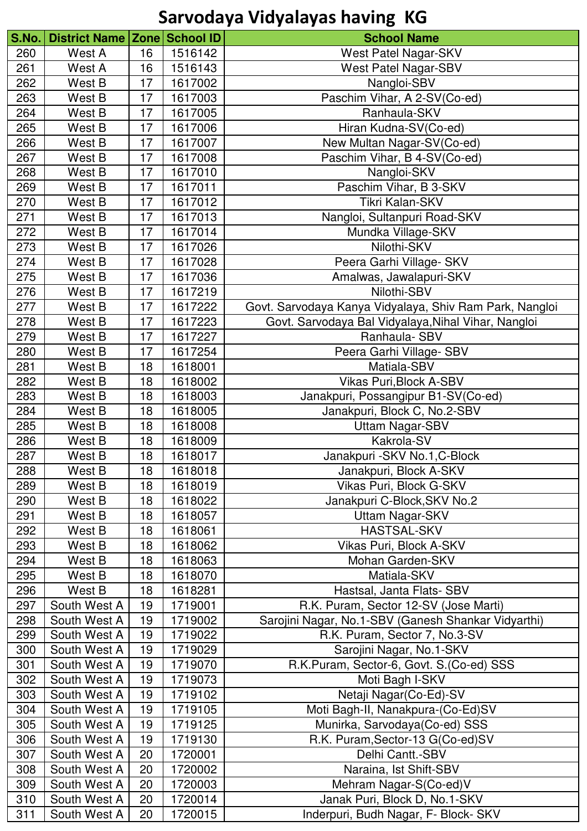| S.No. | District Name   Zone   School ID |    |                    | <b>School Name</b>                                      |
|-------|----------------------------------|----|--------------------|---------------------------------------------------------|
| 260   | West A                           | 16 | 1516142            | West Patel Nagar-SKV                                    |
| 261   | West A                           | 16 | 1516143            | <b>West Patel Nagar-SBV</b>                             |
| 262   | West B                           | 17 | 1617002            | Nangloi-SBV                                             |
| 263   | West B                           | 17 | 1617003            | Paschim Vihar, A 2-SV(Co-ed)                            |
| 264   | West B                           | 17 | 1617005            | Ranhaula-SKV                                            |
| 265   | West B                           | 17 | 1617006            | Hiran Kudna-SV(Co-ed)                                   |
| 266   | West B                           | 17 | 1617007            | New Multan Nagar-SV(Co-ed)                              |
| 267   | West B                           | 17 | 1617008            | Paschim Vihar, B 4-SV(Co-ed)                            |
| 268   | West B                           | 17 | 1617010            | Nangloi-SKV                                             |
| 269   | West B                           | 17 | 1617011            | Paschim Vihar, B 3-SKV                                  |
| 270   | West B                           | 17 | 1617012            | Tikri Kalan-SKV                                         |
| 271   | West B                           | 17 | 1617013            | Nangloi, Sultanpuri Road-SKV                            |
| 272   | West B                           | 17 | 1617014            | Mundka Village-SKV                                      |
| 273   | West B                           | 17 | 1617026            | Nilothi-SKV                                             |
| 274   | West B                           | 17 | 1617028            | Peera Garhi Village- SKV                                |
| 275   | West B                           | 17 | 1617036            | Amalwas, Jawalapuri-SKV                                 |
| 276   | West B                           | 17 | 1617219            | Nilothi-SBV                                             |
| 277   | West B                           | 17 | 1617222            | Govt. Sarvodaya Kanya Vidyalaya, Shiv Ram Park, Nangloi |
| 278   | West B                           | 17 | 1617223            | Govt. Sarvodaya Bal Vidyalaya, Nihal Vihar, Nangloi     |
| 279   | West B                           | 17 | 1617227            | Ranhaula- SBV                                           |
| 280   | West B                           | 17 | 1617254            | Peera Garhi Village- SBV                                |
| 281   | West B                           | 18 | 1618001            | Matiala-SBV                                             |
| 282   | West B                           | 18 | 1618002            | <b>Vikas Puri, Block A-SBV</b>                          |
| 283   | West B                           | 18 | 1618003            | Janakpuri, Possangipur B1-SV(Co-ed)                     |
| 284   | West B                           | 18 | 1618005            | Janakpuri, Block C, No.2-SBV                            |
| 285   | West B                           | 18 | 1618008            | Uttam Nagar-SBV                                         |
| 286   | West B                           | 18 | 1618009            | Kakrola-SV                                              |
| 287   | West B                           | 18 | 1618017            | Janakpuri - SKV No.1, C-Block                           |
| 288   | West B                           | 18 | 1618018            | Janakpuri, Block A-SKV                                  |
| 289   | West B                           | 18 | 1618019            | Vikas Puri, Block G-SKV                                 |
| 290   | West B                           | 18 | 1618022            | Janakpuri C-Block, SKV No.2                             |
| 291   | West B                           | 18 | 1618057            | Uttam Nagar-SKV                                         |
| 292   | West B                           | 18 | 1618061            | HASTSAL-SKV                                             |
|       |                                  |    |                    |                                                         |
| 293   | West B                           | 18 | 1618062            | Vikas Puri, Block A-SKV<br>Mohan Garden-SKV             |
| 294   | West B                           | 18 | 1618063            |                                                         |
| 295   | West B                           | 18 | 1618070<br>1618281 | Matiala-SKV                                             |
| 296   | West B                           | 18 |                    | Hastsal, Janta Flats- SBV                               |
| 297   | South West A                     | 19 | 1719001            | R.K. Puram, Sector 12-SV (Jose Marti)                   |
| 298   | South West A                     | 19 | 1719002            | Sarojini Nagar, No.1-SBV (Ganesh Shankar Vidyarthi)     |
| 299   | South West A                     | 19 | 1719022            | R.K. Puram, Sector 7, No.3-SV                           |
| 300   | South West A                     | 19 | 1719029            | Sarojini Nagar, No.1-SKV                                |
| 301   | South West A                     | 19 | 1719070            | R.K.Puram, Sector-6, Govt. S.(Co-ed) SSS                |
| 302   | South West A                     | 19 | 1719073            | Moti Bagh I-SKV                                         |
| 303   | South West A                     | 19 | 1719102            | Netaji Nagar(Co-Ed)-SV                                  |
| 304   | South West A                     | 19 | 1719105            | Moti Bagh-II, Nanakpura-(Co-Ed)SV                       |
| 305   | South West A                     | 19 | 1719125            | Munirka, Sarvodaya(Co-ed) SSS                           |
| 306   | South West A                     | 19 | 1719130            | R.K. Puram, Sector-13 G(Co-ed) SV                       |
| 307   | South West A                     | 20 | 1720001            | Delhi Cantt.-SBV                                        |
| 308   | South West A                     | 20 | 1720002            | Naraina, Ist Shift-SBV                                  |
| 309   | South West A                     | 20 | 1720003            | Mehram Nagar-S(Co-ed)V                                  |
| 310   | South West A                     | 20 | 1720014            | Janak Puri, Block D, No.1-SKV                           |
| 311   | South West A                     | 20 | 1720015            | Inderpuri, Budh Nagar, F- Block- SKV                    |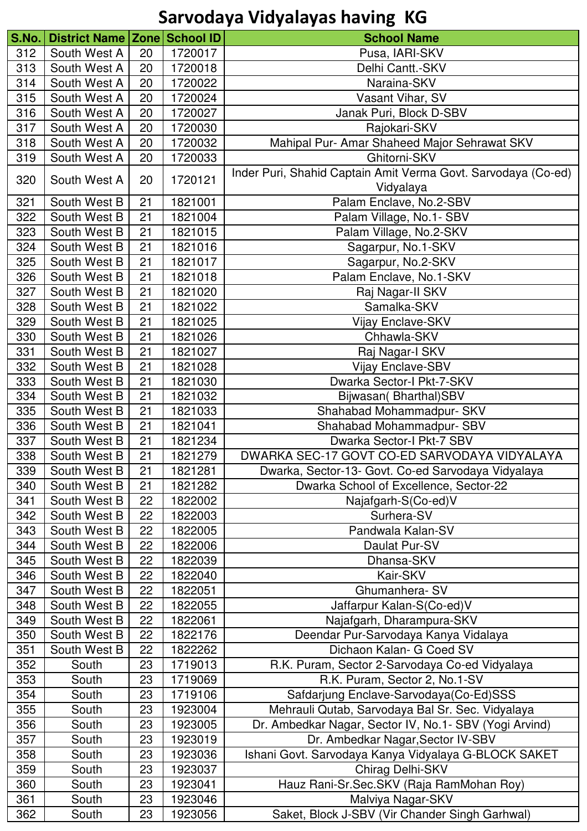| S.No. | District Name Zone School ID |    |         | <b>School Name</b>                                                         |
|-------|------------------------------|----|---------|----------------------------------------------------------------------------|
| 312   | South West A                 | 20 | 1720017 | Pusa, IARI-SKV                                                             |
| 313   | South West A                 | 20 | 1720018 | Delhi Cantt.-SKV                                                           |
|       |                              |    | 1720022 |                                                                            |
| 314   | South West A                 | 20 |         | Naraina-SKV                                                                |
| 315   | South West A                 | 20 | 1720024 | Vasant Vihar, SV                                                           |
| 316   | South West A                 | 20 | 1720027 | Janak Puri, Block D-SBV                                                    |
| 317   | South West A                 | 20 | 1720030 | Rajokari-SKV                                                               |
| 318   | South West A                 | 20 | 1720032 | Mahipal Pur- Amar Shaheed Major Sehrawat SKV                               |
| 319   | South West A                 | 20 | 1720033 | Ghitorni-SKV                                                               |
| 320   | South West A                 | 20 | 1720121 | Inder Puri, Shahid Captain Amit Verma Govt. Sarvodaya (Co-ed)<br>Vidyalaya |
| 321   | South West B                 | 21 | 1821001 | Palam Enclave, No.2-SBV                                                    |
| 322   | South West B                 | 21 | 1821004 | Palam Village, No.1- SBV                                                   |
| 323   | South West B                 | 21 | 1821015 | Palam Village, No.2-SKV                                                    |
| 324   | South West B                 | 21 | 1821016 | Sagarpur, No.1-SKV                                                         |
| 325   | South West B                 | 21 | 1821017 | Sagarpur, No.2-SKV                                                         |
| 326   | South West B                 | 21 | 1821018 | Palam Enclave, No.1-SKV                                                    |
| 327   | South West B                 | 21 | 1821020 | Raj Nagar-II SKV                                                           |
| 328   | South West B                 | 21 | 1821022 | Samalka-SKV                                                                |
| 329   | South West B                 | 21 | 1821025 | <b>Vijay Enclave-SKV</b>                                                   |
| 330   | South West B                 | 21 | 1821026 | Chhawla-SKV                                                                |
| 331   | South West B                 | 21 | 1821027 | Raj Nagar-I SKV                                                            |
| 332   | South West B                 | 21 | 1821028 | Vijay Enclave-SBV                                                          |
| 333   | South West B                 | 21 | 1821030 | Dwarka Sector-I Pkt-7-SKV                                                  |
| 334   | South West B                 | 21 | 1821032 |                                                                            |
|       |                              |    |         | Bijwasan (Bharthal) SBV                                                    |
| 335   | South West B                 | 21 | 1821033 | Shahabad Mohammadpur- SKV                                                  |
| 336   | South West B                 | 21 | 1821041 | Shahabad Mohammadpur- SBV                                                  |
| 337   | South West B                 | 21 | 1821234 | Dwarka Sector-I Pkt-7 SBV                                                  |
| 338   | South West B                 | 21 | 1821279 | DWARKA SEC-17 GOVT CO-ED SARVODAYA VIDYALAYA                               |
| 339   | South West B                 | 21 | 1821281 | Dwarka, Sector-13- Govt. Co-ed Sarvodaya Vidyalaya                         |
| 340   | South West B                 | 21 | 1821282 | Dwarka School of Excellence, Sector-22                                     |
| 341   | South West B                 | 22 | 1822002 | Najafgarh-S(Co-ed)V                                                        |
| 342   | South West B                 | 22 | 1822003 | Surhera-SV                                                                 |
| 343   | South West B                 | 22 | 1822005 | Pandwala Kalan-SV                                                          |
| 344   | South West B                 | 22 | 1822006 | Daulat Pur-SV                                                              |
| 345   | South West B                 | 22 | 1822039 | Dhansa-SKV                                                                 |
| 346   | South West B                 | 22 | 1822040 | Kair-SKV                                                                   |
| 347   | South West B                 | 22 | 1822051 | Ghumanhera-SV                                                              |
| 348   | South West B                 | 22 | 1822055 | Jaffarpur Kalan-S(Co-ed)V                                                  |
| 349   | South West B                 | 22 | 1822061 | Najafgarh, Dharampura-SKV                                                  |
| 350   | South West B                 | 22 | 1822176 | Deendar Pur-Sarvodaya Kanya Vidalaya                                       |
| 351   | South West B                 | 22 | 1822262 | Dichaon Kalan- G Coed SV                                                   |
| 352   | South                        | 23 | 1719013 | R.K. Puram, Sector 2-Sarvodaya Co-ed Vidyalaya                             |
| 353   | South                        | 23 | 1719069 | R.K. Puram, Sector 2, No.1-SV                                              |
| 354   | South                        | 23 | 1719106 | Safdarjung Enclave-Sarvodaya(Co-Ed)SSS                                     |
| 355   | South                        | 23 | 1923004 | Mehrauli Qutab, Sarvodaya Bal Sr. Sec. Vidyalaya                           |
| 356   | South                        | 23 | 1923005 | Dr. Ambedkar Nagar, Sector IV, No.1- SBV (Yogi Arvind)                     |
| 357   | South                        | 23 | 1923019 | Dr. Ambedkar Nagar, Sector IV-SBV                                          |
| 358   | South                        | 23 | 1923036 | Ishani Govt. Sarvodaya Kanya Vidyalaya G-BLOCK SAKET                       |
| 359   | South                        | 23 | 1923037 | Chirag Delhi-SKV                                                           |
| 360   | South                        | 23 | 1923041 | Hauz Rani-Sr.Sec.SKV (Raja RamMohan Roy)                                   |
| 361   | South                        | 23 | 1923046 | Malviya Nagar-SKV                                                          |
| 362   | South                        | 23 | 1923056 | Saket, Block J-SBV (Vir Chander Singh Garhwal)                             |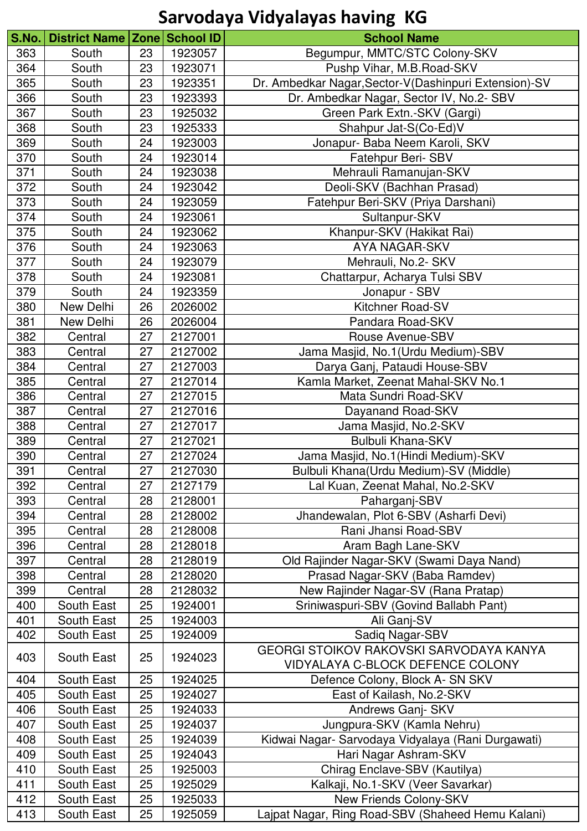| S.No | District Name   Zone   School ID |    |         | <b>School Name</b>                                    |
|------|----------------------------------|----|---------|-------------------------------------------------------|
| 363  | South                            | 23 | 1923057 | Begumpur, MMTC/STC Colony-SKV                         |
| 364  | South                            | 23 | 1923071 | Pushp Vihar, M.B.Road-SKV                             |
| 365  | South                            | 23 | 1923351 | Dr. Ambedkar Nagar, Sector-V(Dashinpuri Extension)-SV |
| 366  | South                            | 23 | 1923393 | Dr. Ambedkar Nagar, Sector IV, No.2- SBV              |
| 367  | South                            | 23 | 1925032 | Green Park Extn.-SKV (Gargi)                          |
| 368  | South                            | 23 | 1925333 | Shahpur Jat-S(Co-Ed)V                                 |
| 369  | South                            | 24 | 1923003 | Jonapur- Baba Neem Karoli, SKV                        |
| 370  | South                            | 24 | 1923014 | Fatehpur Beri- SBV                                    |
| 371  | South                            | 24 | 1923038 | Mehrauli Ramanujan-SKV                                |
| 372  | South                            | 24 | 1923042 | Deoli-SKV (Bachhan Prasad)                            |
| 373  | South                            | 24 | 1923059 | Fatehpur Beri-SKV (Priya Darshani)                    |
| 374  | South                            | 24 | 1923061 | Sultanpur-SKV                                         |
| 375  | South                            | 24 | 1923062 | Khanpur-SKV (Hakikat Rai)                             |
| 376  | South                            | 24 | 1923063 | <b>AYA NAGAR-SKV</b>                                  |
| 377  | South                            | 24 | 1923079 | Mehrauli, No.2- SKV                                   |
| 378  | South                            | 24 | 1923081 | Chattarpur, Acharya Tulsi SBV                         |
| 379  | South                            | 24 | 1923359 | Jonapur - SBV                                         |
| 380  | New Delhi                        | 26 | 2026002 | Kitchner Road-SV                                      |
| 381  | New Delhi                        | 26 | 2026004 | Pandara Road-SKV                                      |
| 382  | Central                          | 27 | 2127001 | Rouse Avenue-SBV                                      |
| 383  | Central                          | 27 | 2127002 | Jama Masjid, No.1 (Urdu Medium)-SBV                   |
| 384  | Central                          | 27 | 2127003 | Darya Ganj, Pataudi House-SBV                         |
| 385  | Central                          | 27 | 2127014 | Kamla Market, Zeenat Mahal-SKV No.1                   |
| 386  | Central                          | 27 | 2127015 | Mata Sundri Road-SKV                                  |
| 387  | Central                          | 27 | 2127016 | Dayanand Road-SKV                                     |
| 388  | Central                          | 27 | 2127017 | Jama Masjid, No.2-SKV                                 |
| 389  | Central                          | 27 | 2127021 | <b>Bulbuli Khana-SKV</b>                              |
| 390  | Central                          | 27 | 2127024 | Jama Masjid, No.1 (Hindi Medium)-SKV                  |
| 391  | Central                          | 27 | 2127030 | Bulbuli Khana(Urdu Medium)-SV (Middle)                |
| 392  | Central                          | 27 | 2127179 | Lal Kuan, Zeenat Mahal, No.2-SKV                      |
| 393  | Central                          | 28 | 2128001 | Paharganj-SBV                                         |
| 394  | Central                          | 28 | 2128002 | Jhandewalan, Plot 6-SBV (Asharfi Devi)                |
| 395  | Central                          | 28 | 2128008 | Rani Jhansi Road-SBV                                  |
| 396  | Central                          | 28 | 2128018 | Aram Bagh Lane-SKV                                    |
| 397  | Central                          | 28 | 2128019 | Old Rajinder Nagar-SKV (Swami Daya Nand)              |
| 398  | Central                          | 28 | 2128020 | Prasad Nagar-SKV (Baba Ramdev)                        |
| 399  | Central                          | 28 | 2128032 | New Rajinder Nagar-SV (Rana Pratap)                   |
| 400  | South East                       | 25 | 1924001 | Sriniwaspuri-SBV (Govind Ballabh Pant)                |
| 401  | South East                       | 25 | 1924003 | Ali Ganj-SV                                           |
| 402  | South East                       | 25 | 1924009 | Sadiq Nagar-SBV                                       |
|      |                                  |    |         | GEORGI STOIKOV RAKOVSKI SARVODAYA KANYA               |
| 403  | South East                       | 25 | 1924023 | VIDYALAYA C-BLOCK DEFENCE COLONY                      |
|      |                                  |    |         |                                                       |
| 404  | South East                       | 25 | 1924025 | Defence Colony, Block A- SN SKV                       |
| 405  | South East                       | 25 | 1924027 | East of Kailash, No.2-SKV                             |
| 406  | South East                       | 25 | 1924033 | Andrews Ganj- SKV                                     |
| 407  | South East                       | 25 | 1924037 | Jungpura-SKV (Kamla Nehru)                            |
| 408  | South East                       | 25 | 1924039 | Kidwai Nagar- Sarvodaya Vidyalaya (Rani Durgawati)    |
| 409  | South East                       | 25 | 1924043 | Hari Nagar Ashram-SKV                                 |
| 410  | South East                       | 25 | 1925003 | Chirag Enclave-SBV (Kautilya)                         |
| 411  | South East                       | 25 | 1925029 | Kalkaji, No.1-SKV (Veer Savarkar)                     |
| 412  | South East                       | 25 | 1925033 | New Friends Colony-SKV                                |
| 413  | South East                       | 25 | 1925059 | Lajpat Nagar, Ring Road-SBV (Shaheed Hemu Kalani)     |